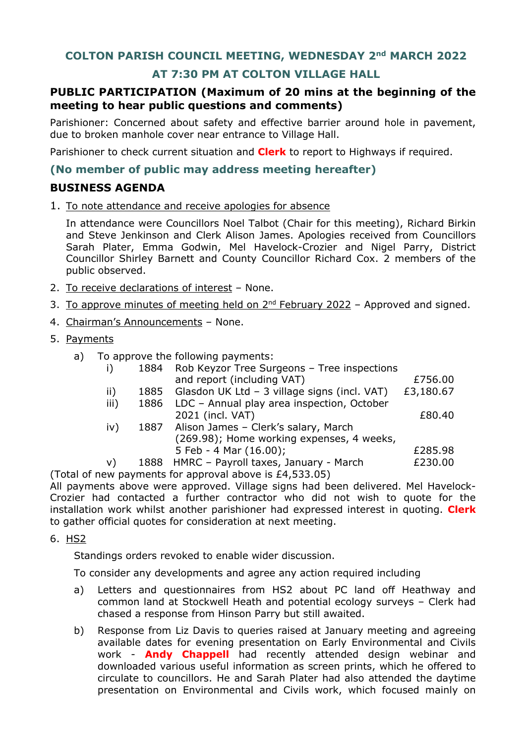## **COLTON PARISH COUNCIL MEETING, WEDNESDAY 2nd MARCH 2022**

# **AT 7:30 PM AT COLTON VILLAGE HALL**

## **PUBLIC PARTICIPATION (Maximum of 20 mins at the beginning of the meeting to hear public questions and comments)**

Parishioner: Concerned about safety and effective barrier around hole in pavement, due to broken manhole cover near entrance to Village Hall.

Parishioner to check current situation and **Clerk** to report to Highways if required.

### **(No member of public may address meeting hereafter)**

### **BUSINESS AGENDA**

1. To note attendance and receive apologies for absence

In attendance were Councillors Noel Talbot (Chair for this meeting), Richard Birkin and Steve Jenkinson and Clerk Alison James. Apologies received from Councillors Sarah Plater, Emma Godwin, Mel Havelock-Crozier and Nigel Parry, District Councillor Shirley Barnett and County Councillor Richard Cox. 2 members of the public observed.

- 2. To receive declarations of interest None.
- 3. To approve minutes of meeting held on  $2<sup>nd</sup>$  February 2022 Approved and signed.
- 4. Chairman's Announcements None.
- 5. Payments
	- a) To approve the following payments:

|                                               |      | 1884 Rob Keyzor Tree Surgeons - Tree inspections |           |
|-----------------------------------------------|------|--------------------------------------------------|-----------|
|                                               |      | and report (including VAT)                       | £756.00   |
| ii)                                           | 1885 | Glasdon UK Ltd - 3 village signs (incl. VAT)     | £3,180.67 |
| iii)                                          | 1886 | LDC - Annual play area inspection, October       |           |
|                                               |      | 2021 (incl. VAT)                                 | £80.40    |
| iv)                                           |      | 1887 Alison James - Clerk's salary, March        |           |
|                                               |      | (269.98); Home working expenses, 4 weeks,        |           |
|                                               |      | 5 Feb - 4 Mar (16.00);                           | £285.98   |
| V)                                            |      | 1888 HMRC - Payroll taxes, January - March       | £230.00   |
| iow payments for approval above is CA E22 OE) |      |                                                  |           |

(Total of new payments for approval above is £4,533.05) All payments above were approved. Village signs had been delivered. Mel Havelock-Crozier had contacted a further contractor who did not wish to quote for the installation work whilst another parishioner had expressed interest in quoting. **Clerk** to gather official quotes for consideration at next meeting.

6. HS2

Standings orders revoked to enable wider discussion.

To consider any developments and agree any action required including

- a) Letters and questionnaires from HS2 about PC land off Heathway and common land at Stockwell Heath and potential ecology surveys – Clerk had chased a response from Hinson Parry but still awaited.
- b) Response from Liz Davis to queries raised at January meeting and agreeing available dates for evening presentation on Early Environmental and Civils work - **Andy Chappell** had recently attended design webinar and downloaded various useful information as screen prints, which he offered to circulate to councillors. He and Sarah Plater had also attended the daytime presentation on Environmental and Civils work, which focused mainly on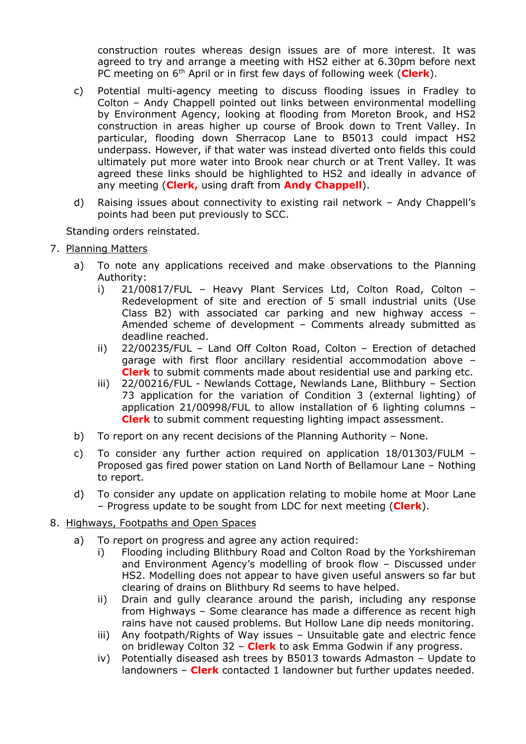construction routes whereas design issues are of more interest. It was agreed to try and arrange a meeting with HS2 either at 6.30pm before next PC meeting on 6th April or in first few days of following week (**Clerk**).

- c) Potential multi-agency meeting to discuss flooding issues in Fradley to Colton – Andy Chappell pointed out links between environmental modelling by Environment Agency, looking at flooding from Moreton Brook, and HS2 construction in areas higher up course of Brook down to Trent Valley. In particular, flooding down Sherracop Lane to B5013 could impact HS2 underpass. However, if that water was instead diverted onto fields this could ultimately put more water into Brook near church or at Trent Valley. It was agreed these links should be highlighted to HS2 and ideally in advance of any meeting (**Clerk,** using draft from **Andy Chappell**).
- d) Raising issues about connectivity to existing rail network Andy Chappell's points had been put previously to SCC.

Standing orders reinstated.

- 7. Planning Matters
	- a) To note any applications received and make observations to the Planning Authority:
		- i) 21/00817/FUL Heavy Plant Services Ltd, Colton Road, Colton Redevelopment of site and erection of 5 small industrial units (Use Class B2) with associated car parking and new highway access – Amended scheme of development – Comments already submitted as deadline reached.
		- ii) 22/00235/FUL Land Off Colton Road, Colton Erection of detached garage with first floor ancillary residential accommodation above – **Clerk** to submit comments made about residential use and parking etc.
		- iii) 22/00216/FUL Newlands Cottage, Newlands Lane, Blithbury Section 73 application for the variation of Condition 3 (external lighting) of application 21/00998/FUL to allow installation of 6 lighting columns – **Clerk** to submit comment requesting lighting impact assessment.
	- b) To report on any recent decisions of the Planning Authority None.
	- c) To consider any further action required on application 18/01303/FULM Proposed gas fired power station on Land North of Bellamour Lane – Nothing to report.
	- d) To consider any update on application relating to mobile home at Moor Lane – Progress update to be sought from LDC for next meeting (**Clerk**).
- 8. Highways, Footpaths and Open Spaces
	- a) To report on progress and agree any action required:
		- i) Flooding including Blithbury Road and Colton Road by the Yorkshireman and Environment Agency's modelling of brook flow – Discussed under HS2. Modelling does not appear to have given useful answers so far but clearing of drains on Blithbury Rd seems to have helped.
		- ii) Drain and gully clearance around the parish, including any response from Highways – Some clearance has made a difference as recent high rains have not caused problems. But Hollow Lane dip needs monitoring.
		- iii) Any footpath/Rights of Way issues Unsuitable gate and electric fence on bridleway Colton 32 – **Clerk** to ask Emma Godwin if any progress.
		- iv) Potentially diseased ash trees by B5013 towards Admaston Update to landowners – **Clerk** contacted 1 landowner but further updates needed.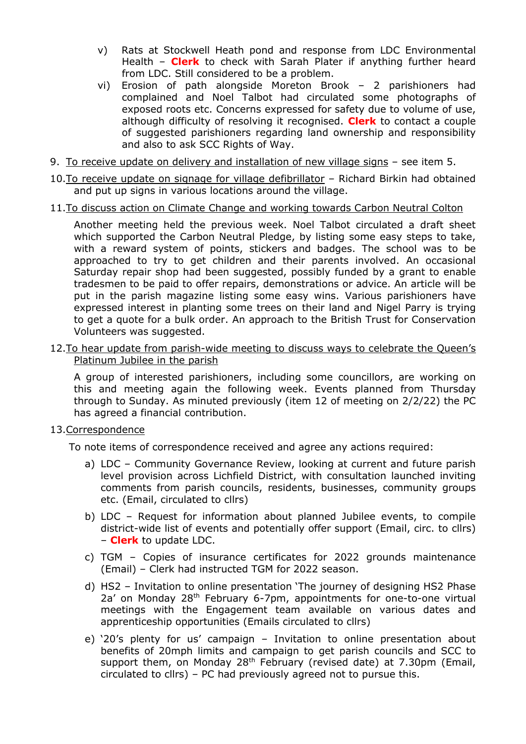- v) Rats at Stockwell Heath pond and response from LDC Environmental Health – **Clerk** to check with Sarah Plater if anything further heard from LDC. Still considered to be a problem.
- vi) Erosion of path alongside Moreton Brook 2 parishioners had complained and Noel Talbot had circulated some photographs of exposed roots etc. Concerns expressed for safety due to volume of use, although difficulty of resolving it recognised. **Clerk** to contact a couple of suggested parishioners regarding land ownership and responsibility and also to ask SCC Rights of Way.
- 9. To receive update on delivery and installation of new village signs see item 5.
- 10.To receive update on signage for village defibrillator Richard Birkin had obtained and put up signs in various locations around the village.
- 11.To discuss action on Climate Change and working towards Carbon Neutral Colton

Another meeting held the previous week. Noel Talbot circulated a draft sheet which supported the Carbon Neutral Pledge, by listing some easy steps to take, with a reward system of points, stickers and badges. The school was to be approached to try to get children and their parents involved. An occasional Saturday repair shop had been suggested, possibly funded by a grant to enable tradesmen to be paid to offer repairs, demonstrations or advice. An article will be put in the parish magazine listing some easy wins. Various parishioners have expressed interest in planting some trees on their land and Nigel Parry is trying to get a quote for a bulk order. An approach to the British Trust for Conservation Volunteers was suggested.

12.To hear update from parish-wide meeting to discuss ways to celebrate the Queen's Platinum Jubilee in the parish

A group of interested parishioners, including some councillors, are working on this and meeting again the following week. Events planned from Thursday through to Sunday. As minuted previously (item 12 of meeting on 2/2/22) the PC has agreed a financial contribution.

### 13.Correspondence

To note items of correspondence received and agree any actions required:

- a) LDC Community Governance Review, looking at current and future parish level provision across Lichfield District, with consultation launched inviting comments from parish councils, residents, businesses, community groups etc. (Email, circulated to cllrs)
- b) LDC Request for information about planned Jubilee events, to compile district-wide list of events and potentially offer support (Email, circ. to cllrs) – **Clerk** to update LDC.
- c) TGM Copies of insurance certificates for 2022 grounds maintenance (Email) – Clerk had instructed TGM for 2022 season.
- d) HS2 Invitation to online presentation 'The journey of designing HS2 Phase 2a' on Monday 28<sup>th</sup> February 6-7pm, appointments for one-to-one virtual meetings with the Engagement team available on various dates and apprenticeship opportunities (Emails circulated to cllrs)
- e) '20's plenty for us' campaign Invitation to online presentation about benefits of 20mph limits and campaign to get parish councils and SCC to support them, on Monday 28<sup>th</sup> February (revised date) at 7.30pm (Email, circulated to cllrs) – PC had previously agreed not to pursue this.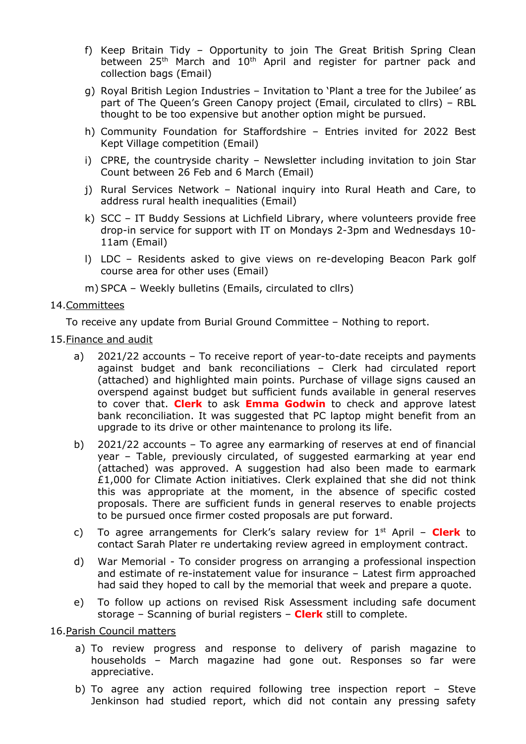- f) Keep Britain Tidy Opportunity to join The Great British Spring Clean between 25<sup>th</sup> March and 10<sup>th</sup> April and register for partner pack and collection bags (Email)
- g) Royal British Legion Industries Invitation to 'Plant a tree for the Jubilee' as part of The Queen's Green Canopy project (Email, circulated to cllrs) – RBL thought to be too expensive but another option might be pursued.
- h) Community Foundation for Staffordshire Entries invited for 2022 Best Kept Village competition (Email)
- i) CPRE, the countryside charity Newsletter including invitation to join Star Count between 26 Feb and 6 March (Email)
- j) Rural Services Network National inquiry into Rural Heath and Care, to address rural health inequalities (Email)
- k) SCC IT Buddy Sessions at Lichfield Library, where volunteers provide free drop-in service for support with IT on Mondays 2-3pm and Wednesdays 10- 11am (Email)
- l) LDC Residents asked to give views on re-developing Beacon Park golf course area for other uses (Email)
- m) SPCA Weekly bulletins (Emails, circulated to cllrs)

### 14.Committees

To receive any update from Burial Ground Committee – Nothing to report.

- 15.Finance and audit
	- a) 2021/22 accounts To receive report of year-to-date receipts and payments against budget and bank reconciliations – Clerk had circulated report (attached) and highlighted main points. Purchase of village signs caused an overspend against budget but sufficient funds available in general reserves to cover that. **Clerk** to ask **Emma Godwin** to check and approve latest bank reconciliation. It was suggested that PC laptop might benefit from an upgrade to its drive or other maintenance to prolong its life.
	- b) 2021/22 accounts To agree any earmarking of reserves at end of financial year – Table, previously circulated, of suggested earmarking at year end (attached) was approved. A suggestion had also been made to earmark £1,000 for Climate Action initiatives. Clerk explained that she did not think this was appropriate at the moment, in the absence of specific costed proposals. There are sufficient funds in general reserves to enable projects to be pursued once firmer costed proposals are put forward.
	- c) To agree arrangements for Clerk's salary review for 1st April **Clerk** to contact Sarah Plater re undertaking review agreed in employment contract.
	- d) War Memorial To consider progress on arranging a professional inspection and estimate of re-instatement value for insurance – Latest firm approached had said they hoped to call by the memorial that week and prepare a quote.
	- e) To follow up actions on revised Risk Assessment including safe document storage – Scanning of burial registers – **Clerk** still to complete.

16.Parish Council matters

- a) To review progress and response to delivery of parish magazine to households – March magazine had gone out. Responses so far were appreciative.
- b) To agree any action required following tree inspection report Steve Jenkinson had studied report, which did not contain any pressing safety